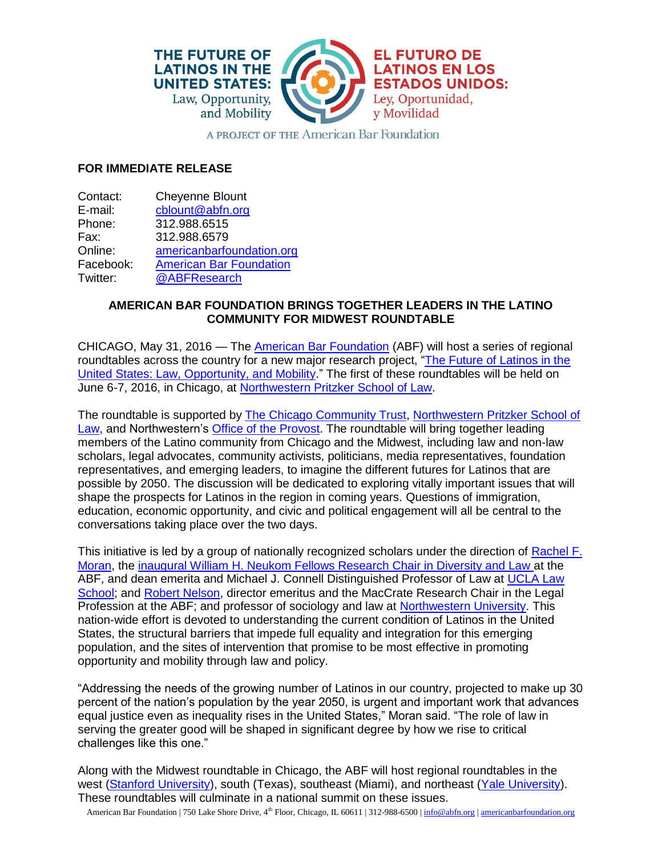

A PROJECT OF THE American Bar Foundation

## **FOR IMMEDIATE RELEASE**

| Contact:  | <b>Cheyenne Blount</b>         |
|-----------|--------------------------------|
| E-mail:   | cblount@abfn.org               |
| Phone:    | 312.988.6515                   |
| Fax:      | 312.988.6579                   |
| Online:   | americanbarfoundation.org      |
| Facebook: | <b>American Bar Foundation</b> |
| Twitter:  | @ABFResearch                   |
|           |                                |

## **AMERICAN BAR FOUNDATION BRINGS TOGETHER LEADERS IN THE LATINO COMMUNITY FOR MIDWEST ROUNDTABLE**

CHICAGO, May 31, 2016 — The [American Bar Foundation](http://www.americanbarfoundation.org/index.html) (ABF) will host a series of regional roundtables across the country for a new major research project, "The Future of Latinos in the [United States: Law, Opportunity, and Mobility.](http://www.americanbarfoundation.org/research/project/104)" The first of these roundtables will be held on June 6-7, 2016, in Chicago, at [Northwestern Pritzker School of Law.](http://www.law.northwestern.edu/)

The roundtable is supported by [The Chicago Community Trust,](http://www.cct.org/) [Northwestern Pritzker School of](http://www.law.northwestern.edu/)  [Law,](http://www.law.northwestern.edu/) and Northwestern's [Office of the Provost.](http://www.northwestern.edu/provost/) The roundtable will bring together leading members of the Latino community from Chicago and the Midwest, including law and non-law scholars, legal advocates, community activists, politicians, media representatives, foundation representatives, and emerging leaders, to imagine the different futures for Latinos that are possible by 2050. The discussion will be dedicated to exploring vitally important issues that will shape the prospects for Latinos in the region in coming years. Questions of immigration, education, economic opportunity, and civic and political engagement will all be central to the conversations taking place over the two days.

This initiative is led by a group of nationally recognized scholars under the direction of [Rachel F.](http://www.americanbarfoundation.org/faculty/profile/47)  [Moran,](http://www.americanbarfoundation.org/faculty/profile/47) the [inaugural William H. Neukom Fellows Research Chair in Diversity and Law a](http://www.americanbarfoundation.org/news/589)t the ABF, and dean emerita and Michael J. Connell Distinguished Professor of Law at [UCLA Law](http://www.law.ucla.edu/)  [School;](http://www.law.ucla.edu/) and [Robert Nelson,](http://www.americanbarfoundation.org/faculty/profile/19) director emeritus and the MacCrate Research Chair in the Legal Profession at the ABF; and professor of sociology and law at [Northwestern University.](http://www.northwestern.edu/) This nation-wide effort is devoted to understanding the current condition of Latinos in the United States, the structural barriers that impede full equality and integration for this emerging population, and the sites of intervention that promise to be most effective in promoting opportunity and mobility through law and policy.

"Addressing the needs of the growing number of Latinos in our country, projected to make up 30 percent of the nation's population by the year 2050, is urgent and important work that advances equal justice even as inequality rises in the United States," Moran said. "The role of law in serving the greater good will be shaped in significant degree by how we rise to critical challenges like this one."

Along with the Midwest roundtable in Chicago, the ABF will host regional roundtables in the west (Stanford [University\)](http://www.yale.edu/), south (Texas), southeast (Miami), and northeast (Yale University). These roundtables will culminate in a national summit on these issues.

American Bar Foundation | 750 Lake Shore Drive, 4<sup>th</sup> Floor, Chicago, IL 60611 | 312-988-6500 [| info@abfn.org](mailto:info@abfn.org) | [americanbarfoundation.org](http://www.americanbarfoundation.org/index.html)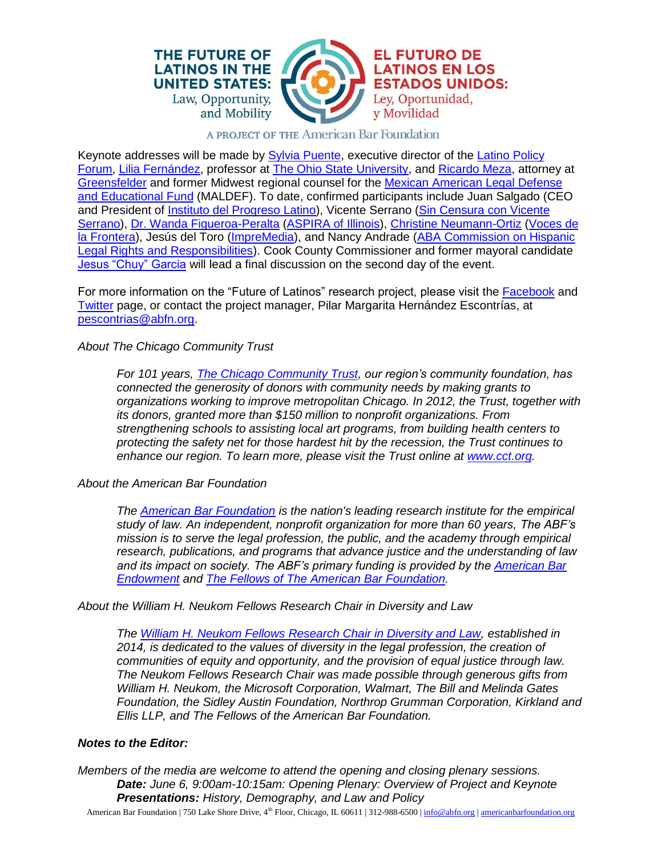



**EL FUTURO DE** 

Ley, Oportunidad,

y Movilidad

**LATINOS EN LOS ESTADOS UNIDOS:** 

## A PROJECT OF THE American Bar Foundation

Keynote addresses will be made by **Sylvia Puente**, executive director of the **Latino Policy** [Forum,](http://www.latinopolicyforum.org/) [Lilia Fernández,](https://history.osu.edu/people/fernandez.96) professor at [The Ohio State University,](https://www.osu.edu/) and [Ricardo Meza,](http://www.greensfelder.com/professionals-Ricardo-Meza.html) attorney at [Greensfelder](http://www.greensfelder.com/) and former Midwest regional counsel for the [Mexican American Legal Defense](http://www.maldef.org/)  [and Educational Fund](http://www.maldef.org/) (MALDEF). To date, confirmed participants include Juan Salgado (CEO and President of [Instituto del Progreso Latino\)](http://www.institutochicago.org/), Vicente Serrano (Sin Censura con Vicente [Serrano\)](https://www.facebook.com/sincensuraconvicenteserrano/), [Dr. Wanda Figueroa-Peralta](http://www.aspirail.org/domain/71) [\(ASPIRA of Illinois\)](http://www.aspirail.org/ASPIRAIllinois), [Christine Neumann-Ortiz](http://vdlf.org/get-informed/from-our-executive-director/) [\(Voces de](http://vdlf.org/)  [la Frontera\)](http://vdlf.org/), Jesús del Toro [\(ImpreMedia\)](http://www.impremedia.com/), and Nancy Andrade (ABA Commission on Hispanic [Legal Rights and Responsibilities\)](http://www.americanbar.org/groups/diversity/commission_on_hispanic_legal_rights_responsibilities.html). Cook County Commissioner and former mayoral candidate [Jesus "Chuy" Garcia](http://www.cookcountyil.gov/jesus-g-garcia-7th/) will lead a final discussion on the second day of the event.

For more information on the "Future of Latinos" research project, please visit the [Facebook](https://www.facebook.com/FutureofLatinosABF/?fref=ts) and [Twitter](https://twitter.com/AbfLatinos) page, or contact the project manager, Pilar Margarita Hernández Escontrías, at [pescontrias@abfn.org.](mailto:pescontrias@abfn.org)

*About The Chicago Community Trust*

*For 101 years, [The Chicago Community Trust,](http://www.cct.org/) our region's community foundation, has connected the generosity of donors with community needs by making grants to organizations working to improve metropolitan Chicago. In 2012, the Trust, together with its donors, granted more than \$150 million to nonprofit organizations. From strengthening schools to assisting local art programs, from building health centers to protecting the safety net for those hardest hit by the recession, the Trust continues to enhance our region. To learn more, please visit the Trust online at [www.cct.org.](http://www.cct.org/)*

*About the American Bar Foundation*

*The [American Bar Foundation](http://www.americanbarfoundation.org/) is the nation's leading research institute for the empirical study of law. An independent, nonprofit organization for more than 60 years, The ABF's mission is to serve the legal profession, the public, and the academy through empirical research, publications, and programs that advance justice and the understanding of law and its impact on society. The ABF's primary funding is provided by the [American Bar](http://www.abendowment.org/)  [Endowment](http://www.abendowment.org/) and [The Fellows of The American Bar Foundation.](http://www.americanbarfoundation.org/fellows/index.html)*

*About the William H. Neukom Fellows Research Chair in Diversity and Law*

*The [William H. Neukom Fellows Research Chair in Diversity and Law,](http://www.americanbarfoundation.org/support/The_Fellows_Research_Chair_in_Diversity_and_Law.html) established in 2014, is dedicated to the values of diversity in the legal profession, the creation of communities of equity and opportunity, and the provision of equal justice through law. The Neukom Fellows Research Chair was made possible through generous gifts from William H. Neukom, the Microsoft Corporation, Walmart, The Bill and Melinda Gates Foundation, the Sidley Austin Foundation, Northrop Grumman Corporation, Kirkland and Ellis LLP, and The Fellows of the American Bar Foundation.*

## *Notes to the Editor:*

*Members of the media are welcome to attend the opening and closing plenary sessions. Date: June 6, 9:00am-10:15am: Opening Plenary: Overview of Project and Keynote Presentations: History, Demography, and Law and Policy*

American Bar Foundation | 750 Lake Shore Drive, 4<sup>th</sup> Floor, Chicago, IL 60611 | 312-988-6500 [| info@abfn.org](mailto:info@abfn.org) | [americanbarfoundation.org](http://www.americanbarfoundation.org/index.html)